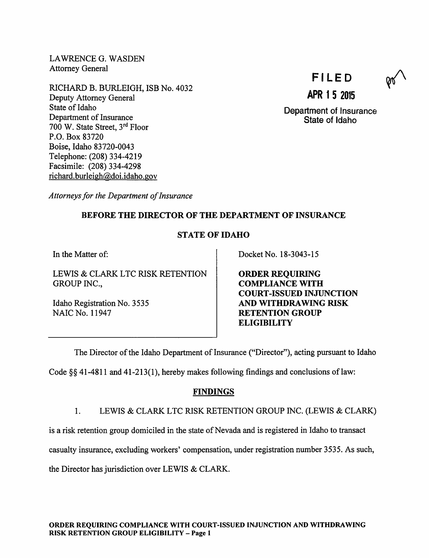LAWRENCE G. WASDEN Attorney General

RICHARD B. BURLEIGH, ISB No. 4032 Deputy Attorney General State of Idaho Department of Insurance 700 W. State Street, 3rd Floor P.O. Box 83720 Boise, Idaho 83720-0043 Telephone: (208) 334-4219 Facsimile: (208) 334-4298 richard.burleigh@doi.idaho.gov

FILED

APR 1 5 2015

Department of Insurance State of Idaho

Attorneys for the Department of Insurance

# BEFORE THE DIRECTOR OF THE DEPARTMENT OF INSURANCE

# STATE OF IDAHO

In the Matter of:

LEWIS & CLARK LTC RISK RETENTION GROUP INC.,

Idaho Registration No. 3535 NAIC No. 11947

Docket No. 18-3043-15

ORDER REQUIRING COMPLIANCE WITH COURT-ISSUED INJUNCTION AND WITHDRAWING RISK RETENTION GROUP **ELIGIBILITY** 

The Director of the Idaho Department of Insurance ("Director"), acting pursuant to Idaho

Code  $\S$ § 41-4811 and 41-213(1), hereby makes following findings and conclusions of law:

# **FINDINGS**

1. LEWIS & CLARK LTC RISK RETENTION GROUP INC. (LEWIS & CLARK)

is a risk retention group domiciled in the state of Nevada and is registered in Idaho to transact

casualty insurance, excluding workers' compensation, under registration number 3535. As such,

the Director has jurisdiction over LEWIS & CLARK.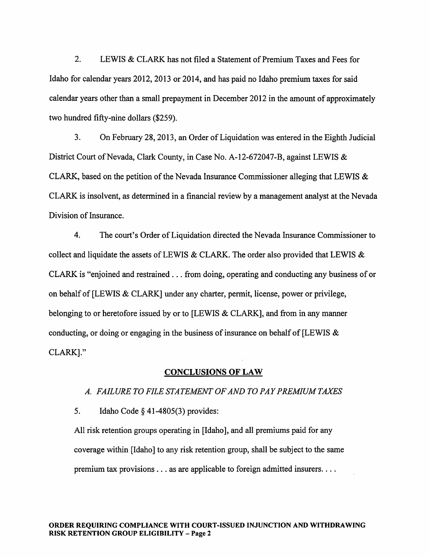2. LEWIS & CLARK has not filed a Statement of Premium Taxes and Fees for Idaho for calendar years 2012, 2013 or 2014, and has paid no Idaho premium taxes for said calendar years other than a small prepayment in December 2012 in the amount of approximately two hundred fifty-nine dollars (\$259).

3. On February 28, 2013, an Order of Liquidation was entered in the Eighth Judicial District Court of Nevada, Clark County, in Case No. A-12-672047-B, against LEWIS & CLARK, based on the petition of the Nevada Insurance Commissioner alleging that LEWIS  $\&$ CLARK is insolvent, as determined in a financial review by a management analyst at the Nevada Division of Insurance.

4. The court's Order of Liquidation directed the Nevada Insurance Commissioner to collect and liquidate the assets of LEWIS & CLARK. The order also provided that LEWIS & CLARK is "enjoined and restrained ... from doing, operating and conducting any business of or on behalf of [LEWIS & CLARK] under any charter, permit, license, power or privilege, belonging to or heretofore issued by or to [LEWIS & CLARK], and from in any manner conducting, or doing or engaging in the business of insurance on behalf of [LEWIS  $\&$ CLARK]."

#### CONCLUSIONS OF LAW

#### A. FAILURE TO FILE STATEMENT OF AND TO PAY PREMIUM TAXES

5. Idaho Code § 41-4805(3) provides:

All risk retention groups operating in [Idaho], and all premiums paid for any coverage within [Idaho] to any risk retention group, shall be subject to the same premium tax provisions ... as are applicable to foreign admitted insurers....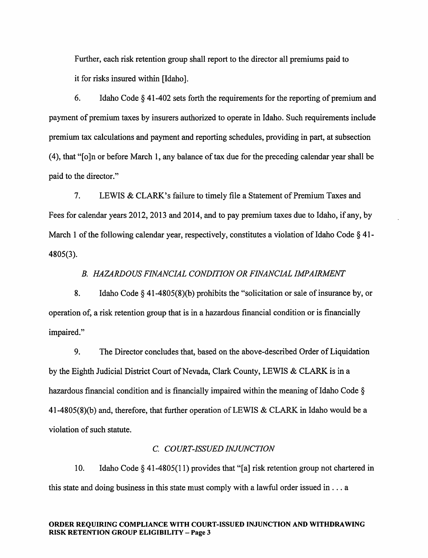Further, each risk retention group shall report to the director all premiums paid to it for risks insured within [Idaho].

6. Idaho Code  $\S$  41-402 sets forth the requirements for the reporting of premium and payment of premium taxes by insurers authorized to operate in Idaho. Such requirements include premium tax calculations and payment and reporting schedules, providing in part, at subsection (4), that "[o]n or before March 1, any balance oftax due for the preceding calendar year shall be paid to the director."

7. LEWIS & CLARK's failure to timely file a Statement of Premium Taxes and Fees for calendar years 2012, 2013 and 2014, and to pay premium taxes due to Idaho, if any, by March 1 of the following calendar year, respectively, constitutes a violation of Idaho Code  $\S$  41-4805(3).

### B. HAZARDOUS FINANCIAL CONDITION OR FINANCIAL IMPAIRMENT

8. Idaho Code  $\S$  41-4805(8)(b) prohibits the "solicitation or sale of insurance by, or operation of, a risk retention group that is in a hazardous financial condition or is financially impaired."

9. The Director concludes that, based on the above-described Order of Liquidation by the Eighth Judicial District Court of Nevada, Clark County, LEWIS & CLARK is in a hazardous financial condition and is financially impaired within the meaning of Idaho Code  $\S$  $41-4805(8)$ (b) and, therefore, that further operation of LEWIS & CLARK in Idaho would be a violation of such statute.

### C. COURT-ISSUED INJUNCTION

10. Idaho Code § 41-4805(11) provides that "[a] risk retention group not chartered in this state and doing business in this state must comply with a lawful order issued in ... <sup>a</sup>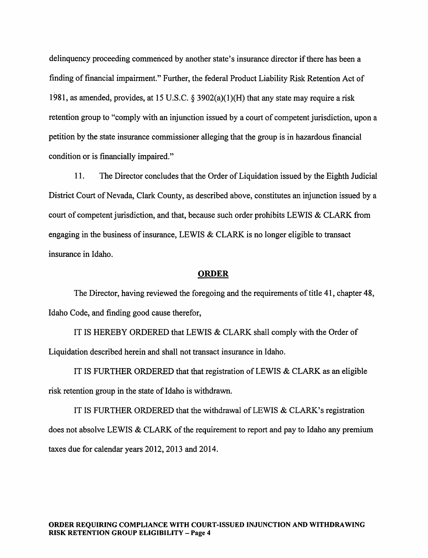delinquency proceeding commenced by another state's insurance director if there has been a finding of financial impairment." Further, the federal Product Liability Risk Retention Act of 1981, as amended, provides, at 15 U.S.C. § 3902(a)(1)(H) that any state may require a risk retention group to "comply with an injunction issued by a court of competent jurisdiction, upon a petition by the state insurance commissioner alleging that the group is in hazardous financial condition or is financially impaired."

11. The Director concludes that the Order of Liquidation issued by the Eighth Judicial District Court of Nevada, Clark County, as described above, constitutes an injunction issued by a court of competent jurisdiction, and that, because such order prohibits LEWIS & CLARK from engaging in the business of insurance, LEWIS  $& CLARK$  is no longer eligible to transact insurance in Idaho.

#### ORDER

The Director, having reviewed the foregoing and the requirements of title 41, chapter 48, Idaho Code, and finding good cause therefor,

IT IS HEREBY ORDERED that LEWIS & CLARK shall comply with the Order of Liquidation described herein and shall not transact insurance in Idaho.

IT IS FURTHER ORDERED that that registration of LEWIS & CLARK as an eligible risk retention group in the state of Idaho is withdrawn.

IT IS FURTHER ORDERED that the withdrawal of LEWIS  $& CLARK's registration$ does not absolve LEWIS & CLARK of the requirement to report and pay to Idaho any premium taxes due for calendar years 2012, 2013 and 2014.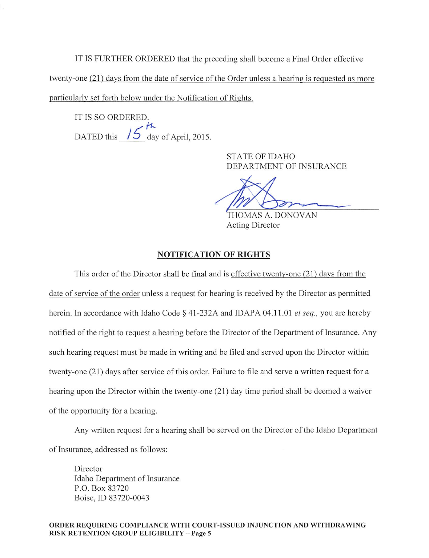IT IS FURTHER ORDERED that the preceding shall become a Final Order effective twenty-one (21) days from the date of service of the Order unless a hearing is requested as more particularlv set forth below under the Notification of Rights.

IT IS SO ORDERED. DATED this  $\sqrt{5}$  day of April, 2015.

> STATE OF IDAHO DEPARTMENT OF INSURANCE

THOMAS A. DONOVAN Acting Director

### NOTIFICATION OF RIGHTS

This order of the Director shall be final and is effective twenty-one (21) days from the date of service of the order unless a request for hearing is received by the Director as permitted herein. In accordance with Idaho Code § 41-232A and IDAPA 04.11.01 et seq., you are hereby notified of the right to request a hearing before the Director of the Department of Insurance. Any such hearing request must be made in writing and be filed and served upon the Director within twenty-one (21) days after service of this order. Failure to file and serve a written request for a hearing upon the Director within the twenty-one (21) day time period shall be deemed a waiver of the opportunity for a hearing.

Any written request for a hearing shall be served on the Director of the Idaho Department of Insurance, addressed as follows:

Director Idaho Department of Insurance P.O. Box 83720 Boise, ID 83720-0043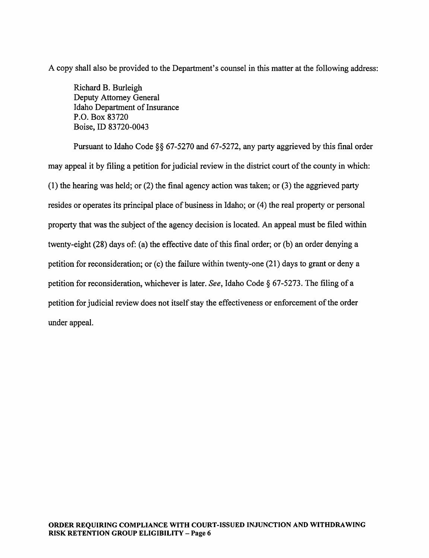A copy shall also be provided to the Department's counsel in this matter at the following address:

Richard B. Burleigh Deputy Attomey General Idaho Department of Insurance P.O. Box 83720 Boise, ID 83720-0043

Pursuant to Idaho Code §§ 67-5270 and 67-5272, any party aggrieved by this final order may appeal it by filing a petition for judicial review in the district court of the county in which: (I) the hearing was held; or (2) the final agency action was taken; or (3) the aggrieved party resides or operates its principal place of business in Idaho; or (4) the real property or personal property that was the subject of the agency decision is located. An appeal must be filed within twenty-eight  $(28)$  days of: (a) the effective date of this final order; or (b) an order denying a petition for reconsideration; or (c) the failure within twenty-one (21) days to grant or deny a petition for reconsideration, whichever is later. See, Idaho Code  $\S$  67-5273. The filing of a petition for judicial review does not itself stay the effectiveness or enforcement of the order under appeal.